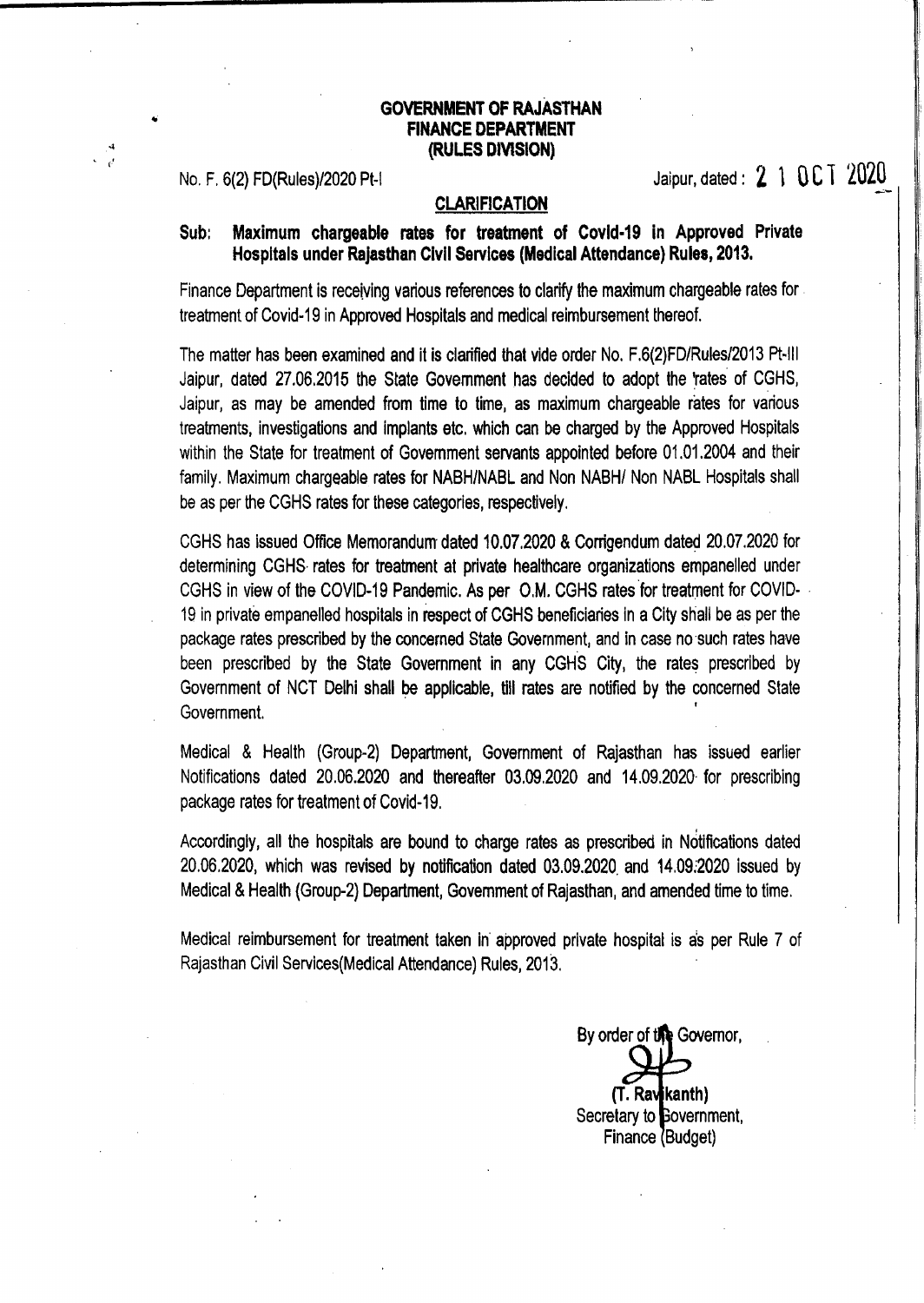### GOVERNMENT OF RAJASTHAN FINANCE DEPARTMENT (RULES DIVISION)

No. F. 6(2) FD(Rules)/2020 Pt-I CLARIFICATION Jaipur, dated: **2 1 UC I 2020** 

## CLARIFICATION

## Sub: Maximum chargeable rates for treatment of Covld·19 in Approved Private Hospitals under Rajasthan Civil Services (Medical Attendance) Rules, 2013.

Finance Department is receiving various references to clarify the maximum chargeable rates for treatment of Covid-19 in Approved Hospitals and medical reimbursement thereof.

The matter has been examined and it is clarified that vide order No. F.6(2)FD/Rules/2013 Pt-III Jaipur, dated 27.06.2015 the State Government has decided to adopt the 'rates of CGHS, Jaipur, as may be amended from time to time, as maximum chargeable rates for various treatments, investigations and implants etc. which can be charged by the Approved Hospitals within the State for treatment of Government servants appointed before 01.01.2004 and their family. Maximum chargeable rates for NABH/NABL and Non NABH/ Non NABL Hospitals shall be as per the CGHS rates for these categories, respectively.

CGHS has issued Office Memorandum dated 10.07.2020 & Corrigendum dated 20.07.2020 for determining CGHS· rates for treatment at private healthcare organizations empanelled under CGHS in view of the COVID-19 Pandemic. As per O.M. CGHS rates for treatment for COVID-19 in private empanelled hospitals in respect of CGHS beneficiaries in a City shall be as per the package rates prescribed by the concerned State Government, and in case no such rates have been prescribed by the State Government in any CGHS City, the rates prescribed by Government of NCT Delhi shall be applicable, till rates are notified by the concerned State Government.

Medical & Health (Group-2) Department, Government of Rajasthan has issued earlier Notifications dated 20.06.2020 and thereafter 03.09.2020 and 14.09.2020· for prescribing package rates for treatment of Covid-19.

Accordingly, all the hospitals are bound to charge rates as prescribed in Notifications dated 20.06.2020, which was revised by notification dated 03.09.2020. and 14.09;2020 Issued by Medical & Health (Group-2) Department, Government of Rajasthan, and amended time to time.

Medical reimbursement for treatment taken in' approved private hospital is as per Rule 7 of Rajasthan Civil Services(Medical Attendance) Rules, 2013.

By order of the Governor. (T. Rav**j**kanth) Secretary to **Bovernment**, Finance (Budget)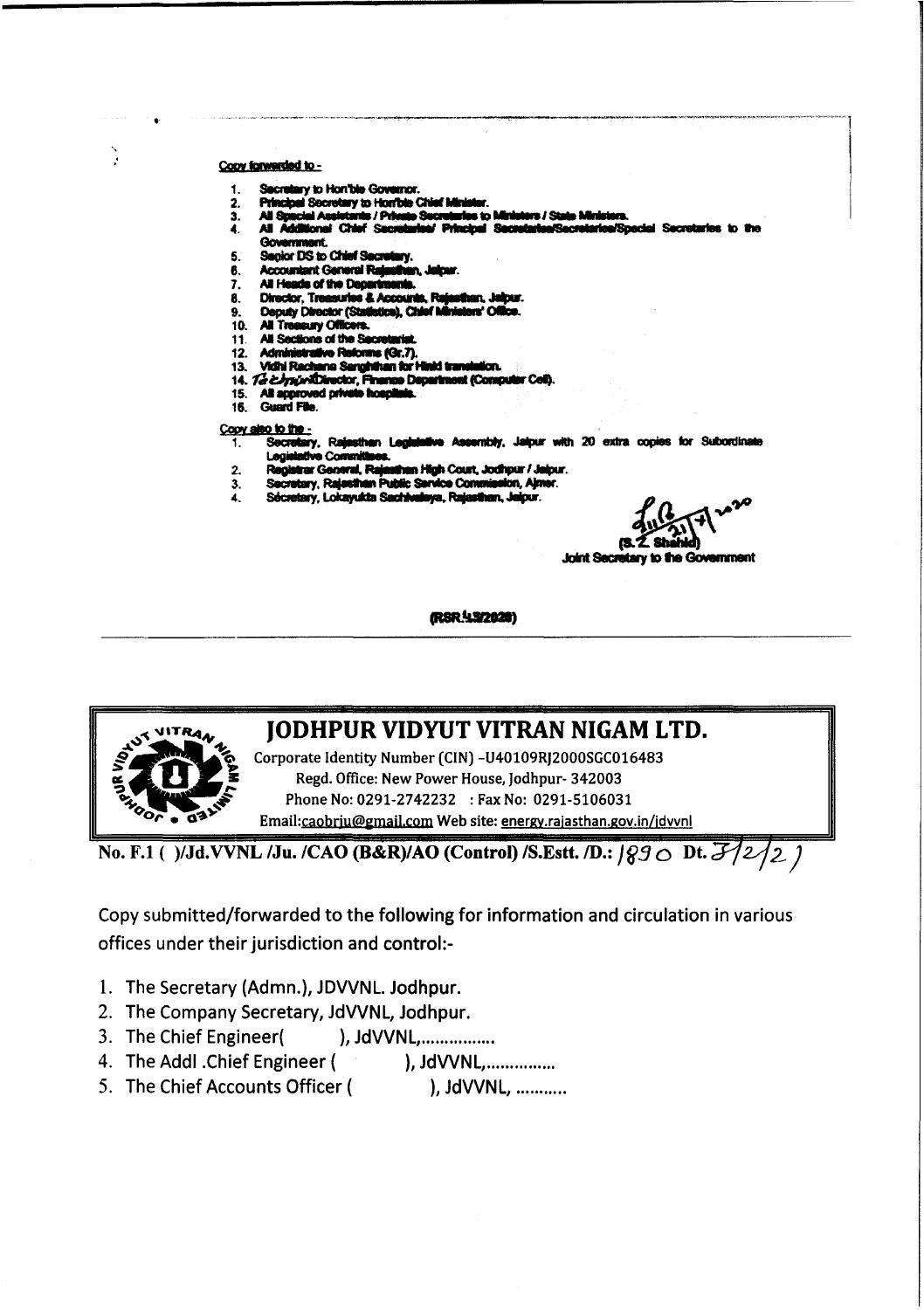#### Copy forwarded to -

 $\mathbf{r}$ 

- Secretary to Hon'ble Governor. 1
- **Principal Secretary to Horrible Chief Mini** ,
- **All Spacial Assistant** 13 / St a / Pri 3. -9 s to
- All Additional Chief Secr Principal Securitate **iRech rico/Special Secrets** 4.
	- Gov neef.
- Senior DS to Chief Secretary. 5.
- **Accountant General Raja** 6.
- All Heads of the Depar 7.
- **Director, Treasuries & Account** 8.
- Deputy Director (Statistics), Chief Iv 9.
- 10. All Treesury Officers.<br>11. All Sections of the Secre
- 
- $12.$ Administrative Reforms (Gr.7).
- Vidhi Rechana Senghihan for Hinki transl 13. tirm
- 14. Technisticator, Finan ce Department (Comput
- 15. All approved prive in fins
- 16. Gu

#### Copy also to the -

- Secret iry, Rajesthan Legislative Assembly, Jaipur with 20 extra copies for Subordinate 1. **Hative Com** Legi
- trar General, Rajasthan High Court, Jodhpur / Jalpur.  $2.$ Regis
- Secretary, Rajasthan Public Service Commission, Ajmer. 3.
- Secretary, Lokayukta Sachivulaya, Rajasthan, Jaipur.  $\mathbf{A}$

*Joint Secre* ഭം

(RSR. 4.3/2020)



# **JODHPUR VIDYUT VITRAN NIGAM LTD.**

Corporate Identity Number (CIN) -U40109RJ2000SGC016483 Regd. Office: New Power House, Jodhpur- 342003 Phone No: 0291-2742232 : Fax No: 0291-5106031 Email:caobriu@gmail.com Web site: energy.rajasthan.gov.in/jdvvnl

No. F.1 ()/Jd.VVNL /Ju. /CAO (B&R)/AO (Control) /S.Estt. /D.:  $990$  Dt.  $32/2$ 

Copy submitted/forwarded to the following for information and circulation in various offices under their jurisdiction and control:-

- 1. The Secretary (Admn.), JDVVNL. Jodhpur.
- 2. The Company Secretary, JdVVNL, Jodhpur.
- 3. The Chief Engineer( ), JdVVNL,.................
- 4. The Addl . Chief Engineer ( ), JdVVNL................
- 5. The Chief Accounts Officer ( ), JdVVNL, ...........